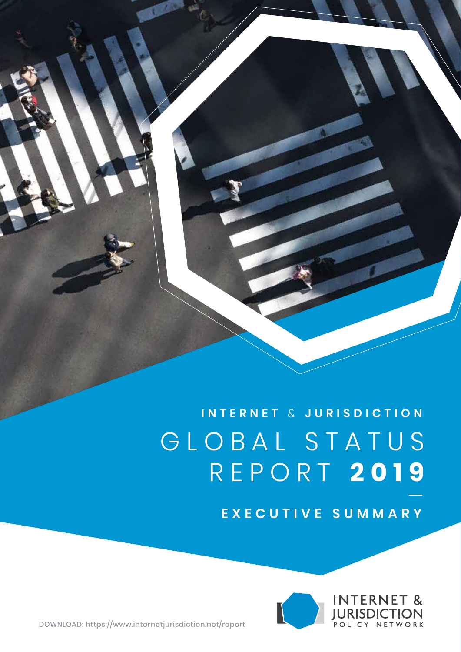**INTERNET** & **JURISDICTION** G LOBAL STATUS R EPORT **2019**

**EXECUTIVE SUMMARY**



<DOWNLOAD: https://www.internetjurisdiction.net/report>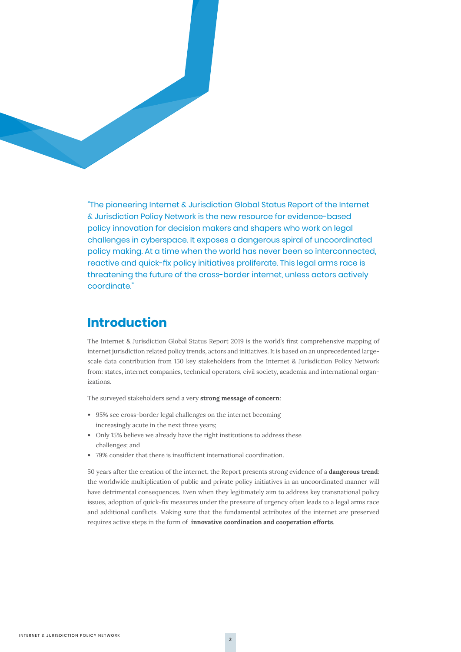

"The pioneering Internet & Jurisdiction Global Status Report of the Internet & Jurisdiction Policy Network is the new resource for evidence-based policy innovation for decision makers and shapers who work on legal challenges in cyberspace. It exposes a dangerous spiral of uncoordinated policy making. At a time when the world has never been so interconnected, reactive and quick-fix policy initiatives proliferate. This legal arms race is threatening the future of the cross-border internet, unless actors actively coordinate."

## **Introduction**

The Internet & Jurisdiction Global Status Report 2019 is the world's first comprehensive mapping of internet jurisdiction related policy trends, actors and initiatives. It is based on an unprecedented largescale data contribution from 150 key stakeholders from the Internet & Jurisdiction Policy Network from: states, internet companies, technical operators, civil society, academia and international organizations.

The surveyed stakeholders send a very **strong message of concern**:

- 95% see cross-border legal challenges on the internet becoming increasingly acute in the next three years;
- Only 15% believe we already have the right institutions to address these challenges; and
- 79% consider that there is insufficient international coordination.

50 years after the creation of the internet, the Report presents strong evidence of a **dangerous trend**: the worldwide multiplication of public and private policy initiatives in an uncoordinated manner will have detrimental consequences. Even when they legitimately aim to address key transnational policy issues, adoption of quick-fix measures under the pressure of urgency often leads to a legal arms race and additional conflicts. Making sure that the fundamental attributes of the internet are preserved requires active steps in the form of **innovative coordination and cooperation efforts**.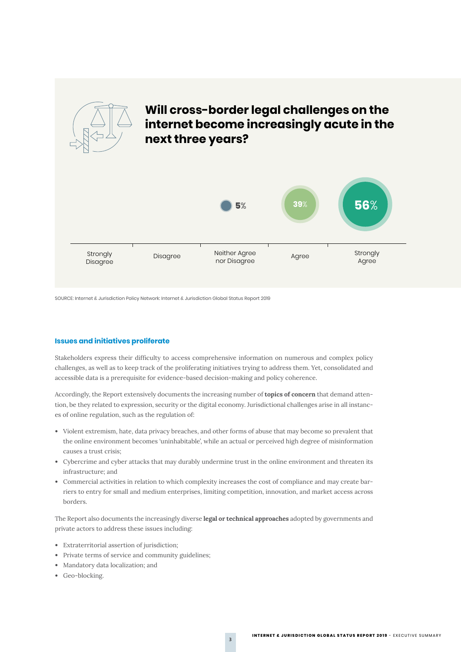

## **Will cross-border legal challenges on the internet become increasingly acute in the next three years?**



SOURCE: Internet & Jurisdiction Policy Network: Internet & Jurisdiction Global Status Report 2019

#### **Issues and initiatives proliferate**

Stakeholders express their difficulty to access comprehensive information on numerous and complex policy challenges, as well as to keep track of the proliferating initiatives trying to address them. Yet, consolidated and accessible data is a prerequisite for evidence-based decision-making and policy coherence.

Accordingly, the Report extensively documents the increasing number of **topics of concern** that demand attention, be they related to expression, security or the digital economy. Jurisdictional challenges arise in all instances of online regulation, such as the regulation of:

- Violent extremism, hate, data privacy breaches, and other forms of abuse that may become so prevalent that the online environment becomes 'uninhabitable', while an actual or perceived high degree of misinformation causes a trust crisis;
- Cybercrime and cyber attacks that may durably undermine trust in the online environment and threaten its infrastructure; and
- Commercial activities in relation to which complexity increases the cost of compliance and may create barriers to entry for small and medium enterprises, limiting competition, innovation, and market access across borders.

The Report also documents the increasingly diverse **legal or technical approaches** adopted by governments and private actors to address these issues including:

- Extraterritorial assertion of jurisdiction;
- Private terms of service and community guidelines;
- Mandatory data localization; and
- Geo-blocking.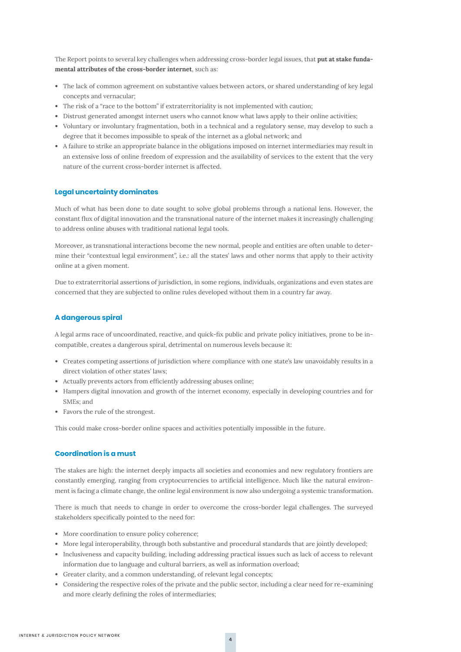The Report points to several key challenges when addressing cross-border legal issues, that **put at stake fundamental attributes of the cross-border internet**, such as:

- The lack of common agreement on substantive values between actors, or shared understanding of key legal concepts and vernacular;
- The risk of a "race to the bottom" if extraterritoriality is not implemented with caution;
- Distrust generated amongst internet users who cannot know what laws apply to their online activities;
- Voluntary or involuntary fragmentation, both in a technical and a regulatory sense, may develop to such a degree that it becomes impossible to speak of the internet as a global network; and
- A failure to strike an appropriate balance in the obligations imposed on internet intermediaries may result in an extensive loss of online freedom of expression and the availability of services to the extent that the very nature of the current cross-border internet is affected.

#### **Legal uncertainty dominates**

Much of what has been done to date sought to solve global problems through a national lens. However, the constant flux of digital innovation and the transnational nature of the internet makes it increasingly challenging to address online abuses with traditional national legal tools.

Moreover, as transnational interactions become the new normal, people and entities are often unable to determine their "contextual legal environment", i.e.: all the states' laws and other norms that apply to their activity online at a given moment.

Due to extraterritorial assertions of jurisdiction, in some regions, individuals, organizations and even states are concerned that they are subjected to online rules developed without them in a country far away.

#### **A dangerous spiral**

A legal arms race of uncoordinated, reactive, and quick-fix public and private policy initiatives, prone to be incompatible, creates a dangerous spiral, detrimental on numerous levels because it:

- Creates competing assertions of jurisdiction where compliance with one state's law unavoidably results in a direct violation of other states' laws;
- Actually prevents actors from efficiently addressing abuses online;
- Hampers digital innovation and growth of the internet economy, especially in developing countries and for SMEs; and
- Favors the rule of the strongest.

This could make cross-border online spaces and activities potentially impossible in the future.

#### **Coordination is a must**

The stakes are high: the internet deeply impacts all societies and economies and new regulatory frontiers are constantly emerging, ranging from cryptocurrencies to artificial intelligence. Much like the natural environment is facing a climate change, the online legal environment is now also undergoing a systemic transformation.

There is much that needs to change in order to overcome the cross-border legal challenges. The surveyed stakeholders specifically pointed to the need for:

- More coordination to ensure policy coherence;
- More legal interoperability, through both substantive and procedural standards that are jointly developed;
- Inclusiveness and capacity building, including addressing practical issues such as lack of access to relevant information due to language and cultural barriers, as well as information overload;
- Greater clarity, and a common understanding, of relevant legal concepts;
- Considering the respective roles of the private and the public sector, including a clear need for re-examining and more clearly defining the roles of intermediaries;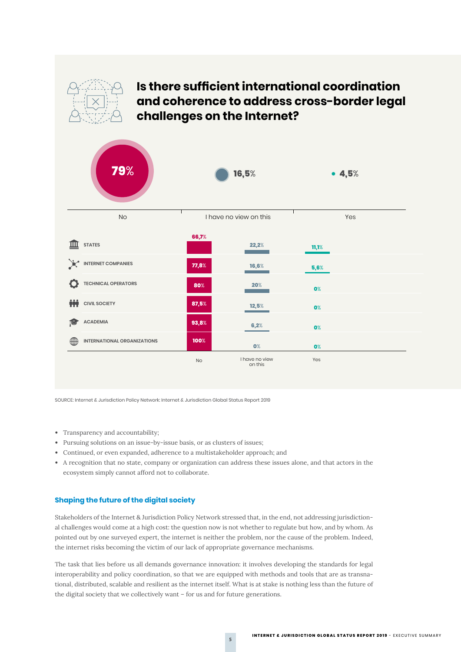

## **Is there sufficient international coordination and coherence to address cross-border legal challenges on the Internet?**



SOURCE: Internet & Jurisdiction Policy Network: Internet & Jurisdiction Global Status Report 2019

- Transparency and accountability;
- Pursuing solutions on an issue-by-issue basis, or as clusters of issues;
- Continued, or even expanded, adherence to a multistakeholder approach; and
- A recognition that no state, company or organization can address these issues alone, and that actors in the ecosystem simply cannot afford not to collaborate.

#### **Shaping the future of the digital society**

Stakeholders of the Internet & Jurisdiction Policy Network stressed that, in the end, not addressing jurisdictional challenges would come at a high cost: the question now is not whether to regulate but how, and by whom. As pointed out by one surveyed expert, the internet is neither the problem, nor the cause of the problem. Indeed, the internet risks becoming the victim of our lack of appropriate governance mechanisms.

The task that lies before us all demands governance innovation: it involves developing the standards for legal interoperability and policy coordination, so that we are equipped with methods and tools that are as transnational, distributed, scalable and resilient as the internet itself. What is at stake is nothing less than the future of the digital society that we collectively want – for us and for future generations.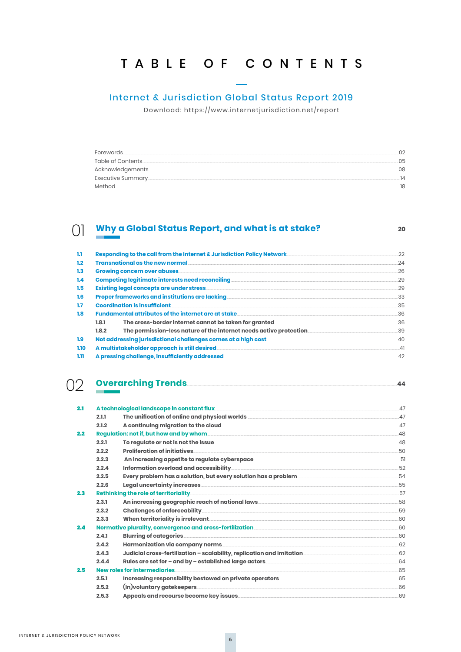## TABLE OF CONTENTS

#### **Internet & Jurisdiction Global Status Report 2019**

Download: https://www.internetjurisdiction.net/report

| <b>Forewords</b>  |    |
|-------------------|----|
| Table of Contents | nҕ |
|                   | nя |
| Executive Summary |    |
|                   |    |

#### () Why a Global Status Report, and what is at stake?\_\_\_\_\_\_\_\_\_

| 1.1              |                                                            | Responding to the call from the Internet & Jurisdiction Policy Network. | 22 |
|------------------|------------------------------------------------------------|-------------------------------------------------------------------------|----|
| 1.2 <sub>2</sub> |                                                            | <b>Transnational as the new normal</b>                                  | 24 |
| 1.3              | <b>Growing concern over abuses</b>                         |                                                                         |    |
| 1.4              | <b>Competing legitimate interests need reconciling</b>     |                                                                         |    |
| 1.5              | <b>Existing legal concepts are under stress</b>            |                                                                         |    |
| 1.6              | <b>Proper frameworks and institutions are lacking</b>      |                                                                         |    |
| 1.7 <sup>2</sup> | <b>Coordination is insufficient</b>                        |                                                                         | 35 |
| 1.8              | <b>Fundamental attributes of the internet are at stake</b> |                                                                         | 36 |
|                  | 1.8.1                                                      | The cross-border internet cannot be taken for granted                   | 36 |
|                  | 1.8.2                                                      |                                                                         | 39 |
| 1.9              |                                                            | Not addressing jurisdictional challenges comes at a high cost.          | 40 |
| 1.10             | A multistakeholder approach is still desired.              |                                                                         |    |
| 1.11             |                                                            | A pressing challenge, insufficiently addressed                          | 42 |

44

## 02 Overarching Trends

| 2.1 |                              |                                                                                                                          |      |
|-----|------------------------------|--------------------------------------------------------------------------------------------------------------------------|------|
|     | 2.1.1                        |                                                                                                                          | 47   |
|     | 2.1.2                        |                                                                                                                          | 47   |
| 2.2 |                              |                                                                                                                          |      |
|     | 2.2.1                        | To regulate or not is not the issue <u>contained and in the set of the set of the set of the set of the set of the s</u> | 48   |
|     | 2.2.2                        | <b>Proliferation of initiatives</b>                                                                                      | 50   |
|     | 2.2.3                        | An increasing appetite to regulate cyberspace __________________________________                                         | - 51 |
|     | 2.2.4                        |                                                                                                                          | 52   |
|     | 2.2.5                        |                                                                                                                          | 54   |
|     | 2.2.6                        |                                                                                                                          | 55   |
| 2.3 |                              |                                                                                                                          | 57   |
|     | 2.3.1                        |                                                                                                                          | 58   |
|     | 2.3.2                        |                                                                                                                          | 59   |
|     | 2.3.3                        |                                                                                                                          | 60   |
| 2.4 |                              |                                                                                                                          | 60   |
|     | 2.4.1                        |                                                                                                                          | 60   |
|     | 2.4.2                        |                                                                                                                          | 62   |
|     | 2.4.3                        | Judicial cross-fertilization – scalability, replication and imitation______________________________                      | .62  |
|     | 2.4.4                        |                                                                                                                          | 64   |
| 2.5 | New roles for intermediaries |                                                                                                                          |      |
|     | 2.5.1                        |                                                                                                                          | 65   |
|     | 2.5.2                        | (In) voluntary gate keepers                                                                                              | 66   |
|     | 2.5.3                        |                                                                                                                          | 69   |
|     |                              |                                                                                                                          |      |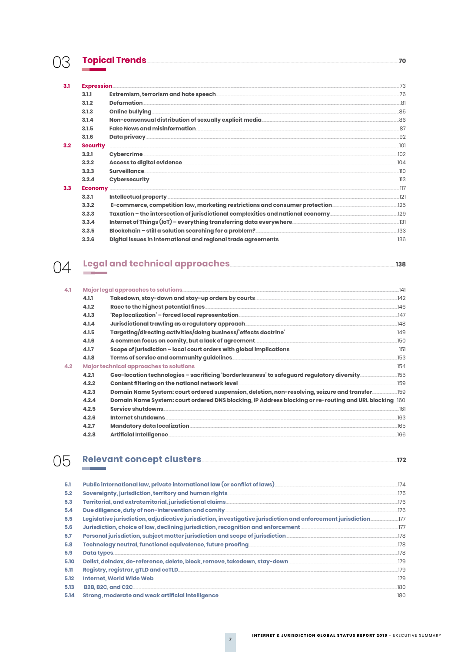## 03 **Topical Trends**

| 3.1           | <b>Expression</b> |                                                                                                     | 73        |
|---------------|-------------------|-----------------------------------------------------------------------------------------------------|-----------|
|               | 3.1.1             |                                                                                                     | 76        |
|               | 3.1.2             |                                                                                                     | 81        |
|               | 3.1.3             |                                                                                                     | .85       |
|               | 3.1.4             |                                                                                                     | .86       |
|               | 3.1.5             |                                                                                                     | 87        |
|               | 3.1.6             |                                                                                                     | 92        |
| $3.2^{\circ}$ | <b>Security</b>   |                                                                                                     | .101      |
|               | 3.2.1             |                                                                                                     | 102       |
|               | 3.2.2             |                                                                                                     | 104       |
|               | 3.2.3             |                                                                                                     | .110      |
|               | 3.2.4             |                                                                                                     | $\Box$ 13 |
| 3.3           |                   |                                                                                                     | 117       |
|               | 3.3.1             |                                                                                                     | 121       |
|               | 3.3.2             | E-commerce, competition law, marketing restrictions and consumer protection                         | .125      |
|               | 3.3.3             | Taxation – the intersection of jurisdictional complexities and national economy                     | 129       |
|               | 3.3.4             | Internet of Things (IoT) – everything transferring data everywhere ________________________________ | .131      |
|               | 3.3.5             |                                                                                                     | .133      |
|               | 3.3.6             |                                                                                                     | .136      |

# 04 Legal and technical approaches 138

 $-70$ 

| 4.1 |       | Major legal approaches to solutions                                                                    | .141 |
|-----|-------|--------------------------------------------------------------------------------------------------------|------|
|     | 4.1.1 | Takedown, stay-down and stay-up orders by courts________________________________                       | .142 |
|     | 4.1.2 | Race to the highest potential fines                                                                    | 146  |
|     | 4.1.3 |                                                                                                        | 147  |
|     | 4.1.4 | Jurisdictional trawling as a regulatory approach ________________________________                      | .148 |
|     | 4.1.5 | Targeting/directing activities/doing business/'effects doctrine'___________________________________    | 149  |
|     | 4.1.6 | A common focus on comity, but a lack of agreement________________________________                      | .150 |
|     | 4.1.7 | Scope of jurisdiction – local court orders with global implications <b>Scope of jurisdiction</b>       | .151 |
|     | 4.1.8 |                                                                                                        | 153  |
| 4.2 |       | Major technical approaches to solutions                                                                | .154 |
|     | 4.2.1 | Geo-location technologies - sacrificing 'borderlessness' to safequard regulatory diversity             | .155 |
|     | 4.2.2 | Content filtering on the national network level                                                        | 159  |
|     | 4.2.3 | Domain Name System: court ordered suspension, deletion, non-resolving, seizure and transfer            | .159 |
|     | 4.2.4 | Domain Name System: court ordered DNS blocking, IP Address blocking or re-routing and URL blocking 160 |      |
|     | 4.2.5 | Service shutdowns                                                                                      | 161  |
|     | 4.2.6 | Internet shutdowns                                                                                     | 163  |
|     | 4.2.7 | <b>Mandatory data localization</b>                                                                     | 165  |
|     | 4.2.8 | <b>Artificial Intelligence</b>                                                                         | 166  |
|     |       |                                                                                                        |      |

# 05 Relevant concept clusters\_\_\_\_\_\_\_

 $-172$ 

| 5.1  | Public international law, private international law (or conflict of laws)                                     | 174  |
|------|---------------------------------------------------------------------------------------------------------------|------|
| 5.2  | Sovereignty, jurisdiction, territory and human rights.                                                        | 175  |
| 5.3  | Territorial, and extraterritorial, jurisdictional claims                                                      | 176  |
| 5.4  | Due diligence, duty of non-intervention and comity_                                                           | 176  |
| 5.5  | Legislative jurisdiction, adjudicative jurisdiction, investigative jurisdiction and enforcement jurisdiction. | 177  |
| 5.6  | Jurisdiction, choice of law, declining jurisdiction, recognition and enforcement.                             | 177  |
| 5.7  | Personal jurisdiction, subject matter jurisdiction and scope of jurisdiction                                  | .178 |
| 5.8  | Technology neutral, functional equivalence, future proofing                                                   | .178 |
| 5.9  | <b>Data types</b>                                                                                             | .178 |
| 5.10 | Delist, deindex, de-reference, delete, block, remove, takedown, stay-down                                     | 179  |
| 5.11 | <b>Registry, registrar, gTLD and ccTLD.</b>                                                                   | .179 |
| 5.12 | Internet, World Wide Web.                                                                                     | .179 |
| 5.13 | <b>B2B. B2C. and C2C_</b>                                                                                     | 180  |
| 5.14 | Strong, moderate and weak artificial intelligence.                                                            | .180 |
|      |                                                                                                               |      |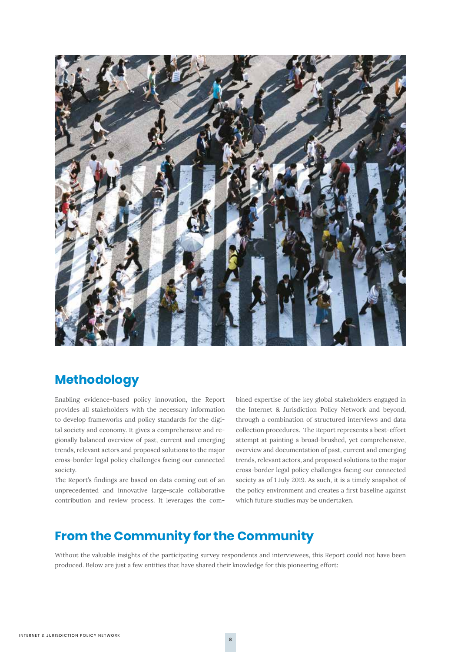

## **Methodology**

Enabling evidence-based policy innovation, the Report provides all stakeholders with the necessary information to develop frameworks and policy standards for the digital society and economy. It gives a comprehensive and regionally balanced overview of past, current and emerging trends, relevant actors and proposed solutions to the major cross-border legal policy challenges facing our connected society.

The Report's findings are based on data coming out of an unprecedented and innovative large-scale collaborative contribution and review process. It leverages the combined expertise of the key global stakeholders engaged in the Internet & Jurisdiction Policy Network and beyond, through a combination of structured interviews and data collection procedures. The Report represents a best-effort attempt at painting a broad-brushed, yet comprehensive, overview and documentation of past, current and emerging trends, relevant actors, and proposed solutions to the major cross-border legal policy challenges facing our connected society as of 1 July 2019. As such, it is a timely snapshot of the policy environment and creates a first baseline against which future studies may be undertaken.

### **From the Community for the Community**

Without the valuable insights of the participating survey respondents and interviewees, this Report could not have been produced. Below are just a few entities that have shared their knowledge for this pioneering effort: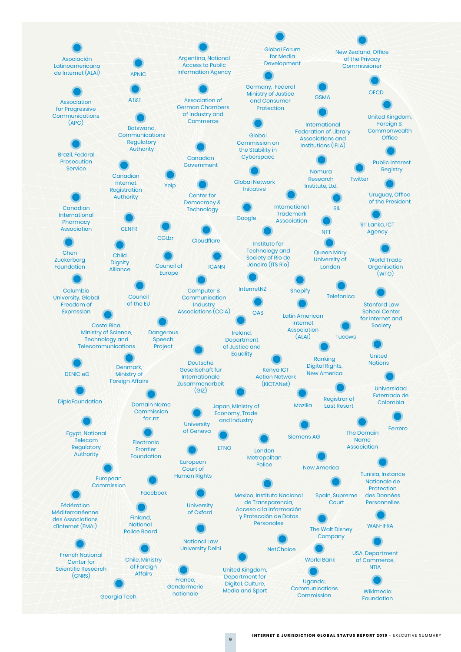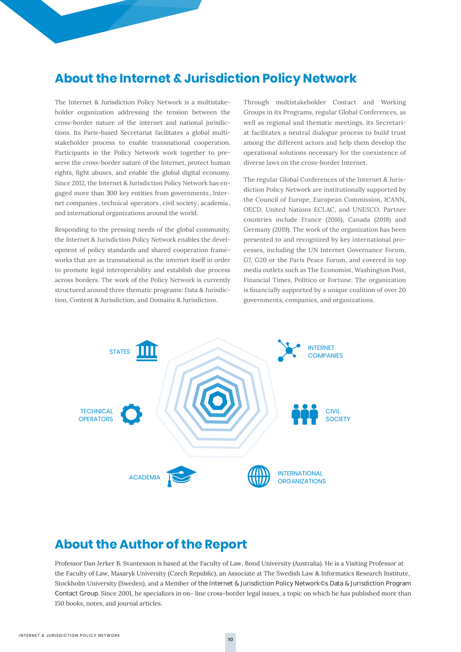## **About the Internet & Jurisdiction Policy Network**

The Internet & Jurisdiction Policy Network is a multistakeholder organization addressing the tension between the cross-border nature of the internet and national jurisdictions. Its Paris-based Secretariat facilitates a global multistakeholder process to enable transnational cooperation. Participants in the Policy Network work together to preserve the cross-border nature of the Internet, protect human rights, fight abuses, and enable the global digital economy. Since 2012, the Internet & Jurisdiction Policy Network has engaged more than 300 key entities from governments , Internet companies , technical operators , civil society, academia , and international organizations around the world.

Responding to the pressing needs of the global community, the Internet & Jurisdiction Policy Network enables the development of policy standards and shared cooperation frameworks that are as transnational as the internet itself in order to promote legal interoperability and establish due process across borders. The work of the Policy Network is currently structured around three thematic programs: Data & Jurisdiction, Content & Jurisdiction, and Domains & Jurisdiction.

Through multistakeholder Contact and Working Groups in its Programs, regular Global Conferences, as well as regional and thematic meetings, its Secretariat facilitates a neutral dialogue process to build trust among the different actors and help them develop the operational solutions necessary for the coexistence of diverse laws on the cross-border Internet.

The regular Global Conferences of the Internet & Jurisdiction Policy Network are institutionally supported by the Council of Europe, European Commission, ICANN, OECD, United Nations ECLAC, and UNESCO. Partner countries include France (2016), Canada (2018) and Germany (2019). The work of the organization has been presented to and recognized by key international processes, including the UN Internet Governance Forum, G7, G20 or the Paris Peace Forum, and covered in top media outlets such as The Economist, Washington Post, Financial Times, Politico or Fortune. The organization is financially supported by a unique coalition of over 20 governments, companies, and organizations.



### **About the Author of the Report**

Professor Dan Jerker B. Svantesson is based at the Faculty of Law, Bond University (Australia). He is a Visiting Professor at the Faculty of Law, Masaryk University (Czech Republic), an Associate at The Swedish Law & Informatics Research Institute, Stockholm University (Sweden), and a Member of the Internet & Jurisdiction Policy Network's Data & Jurisdiction Program **Contact Group.** Since 2001, he specializes in on-line cross-border legal issues, a topic on which he has published more than 150 books, notes, and journal articles.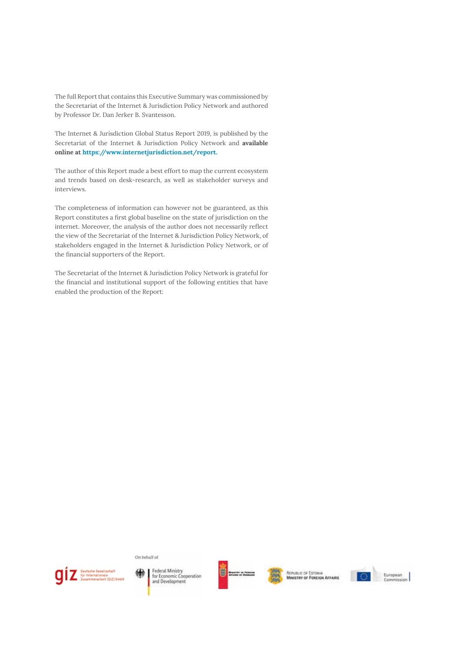The full Report that contains this Executive Summary was commissioned by the Secretariat of the Internet & Jurisdiction Policy Network and authored by Professor Dr. Dan Jerker B. Svantesson.

The Internet & Jurisdiction Global Status Report 2019, is published by the Secretariat of the Internet & Jurisdiction Policy Network and **available online at https://www.internetjurisdiction.net/report.**

The author of this Report made a best effort to map the current ecosystem and trends based on desk-research, as well as stakeholder surveys and interviews.

The completeness of information can however not be guaranteed, as this Report constitutes a first global baseline on the state of jurisdiction on the internet. Moreover, the analysis of the author does not necessarily reflect the view of the Secretariat of the Internet & Jurisdiction Policy Network, of stakeholders engaged in the Internet & Jurisdiction Policy Network, or of the financial supporters of the Report.

The Secretariat of the Internet & Jurisdiction Policy Network is grateful for the financial and institutional support of the following entities that have enabled the production of the Report:

On behalf of



Federal Ministry<br>for Economic Cooperation and Development



REPUBLIC OF ESTONIA<br>MINISTRY OF FOREIGN AFFAIRS